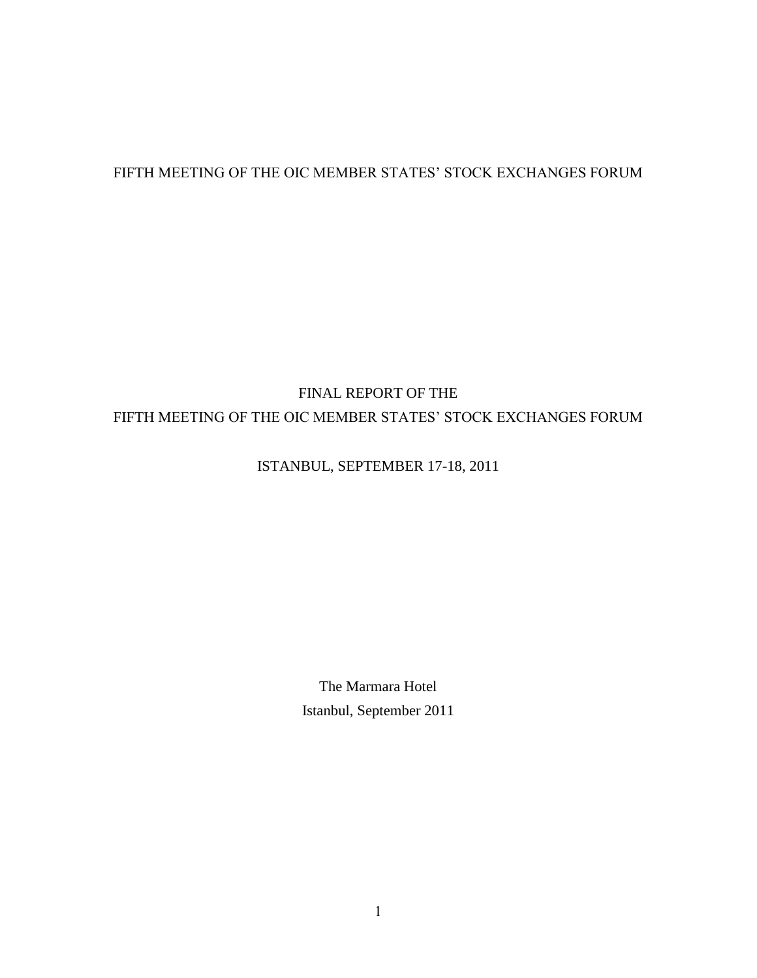## FIFTH MEETING OF THE OIC MEMBER STATES' STOCK EXCHANGES FORUM

# FINAL REPORT OF THE FIFTH MEETING OF THE OIC MEMBER STATES' STOCK EXCHANGES FORUM

## ISTANBUL, SEPTEMBER 17-18, 2011

The Marmara Hotel Istanbul, September 2011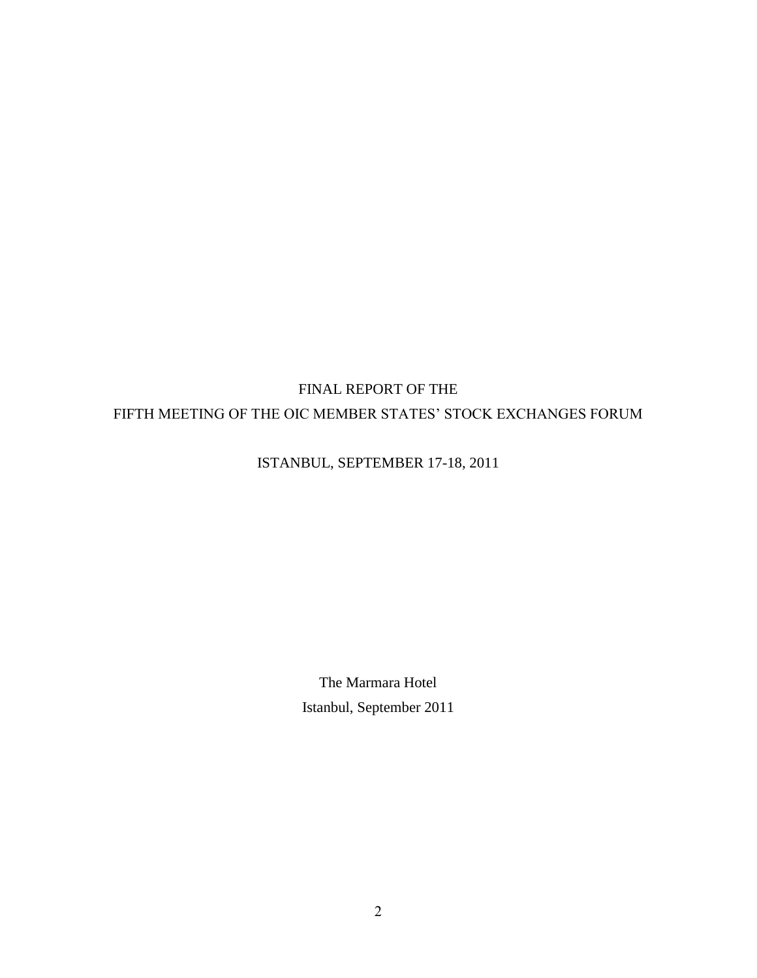# FINAL REPORT OF THE FIFTH MEETING OF THE OIC MEMBER STATES' STOCK EXCHANGES FORUM

## ISTANBUL, SEPTEMBER 17-18, 2011

The Marmara Hotel Istanbul, September 2011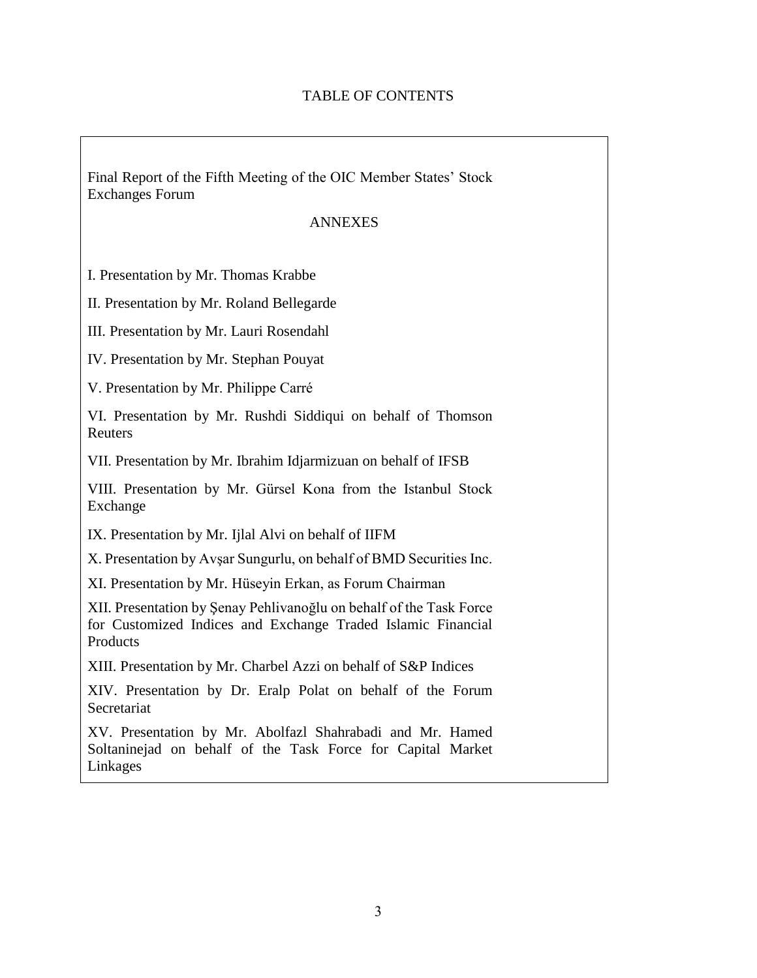## TABLE OF CONTENTS

Final Report of the Fifth Meeting of the OIC Member States' Stock Exchanges Forum

#### ANNEXES

I. Presentation by Mr. Thomas Krabbe

II. Presentation by Mr. Roland Bellegarde

III. Presentation by Mr. Lauri Rosendahl

IV. Presentation by Mr. Stephan Pouyat

V. Presentation by Mr. Philippe Carré

VI. Presentation by Mr. Rushdi Siddiqui on behalf of Thomson Reuters

VII. Presentation by Mr. Ibrahim Idjarmizuan on behalf of IFSB

VIII. Presentation by Mr. Gürsel Kona from the Istanbul Stock Exchange

IX. Presentation by Mr. Ijlal Alvi on behalf of IIFM

X. Presentation by Avşar Sungurlu, on behalf of BMD Securities Inc.

XI. Presentation by Mr. Hüseyin Erkan, as Forum Chairman

XII. Presentation by Şenay Pehlivanoğlu on behalf of the Task Force for Customized Indices and Exchange Traded Islamic Financial Products

XIII. Presentation by Mr. Charbel Azzi on behalf of S&P Indices

XIV. Presentation by Dr. Eralp Polat on behalf of the Forum Secretariat

XV. Presentation by Mr. Abolfazl Shahrabadi and Mr. Hamed Soltaninejad on behalf of the Task Force for Capital Market Linkages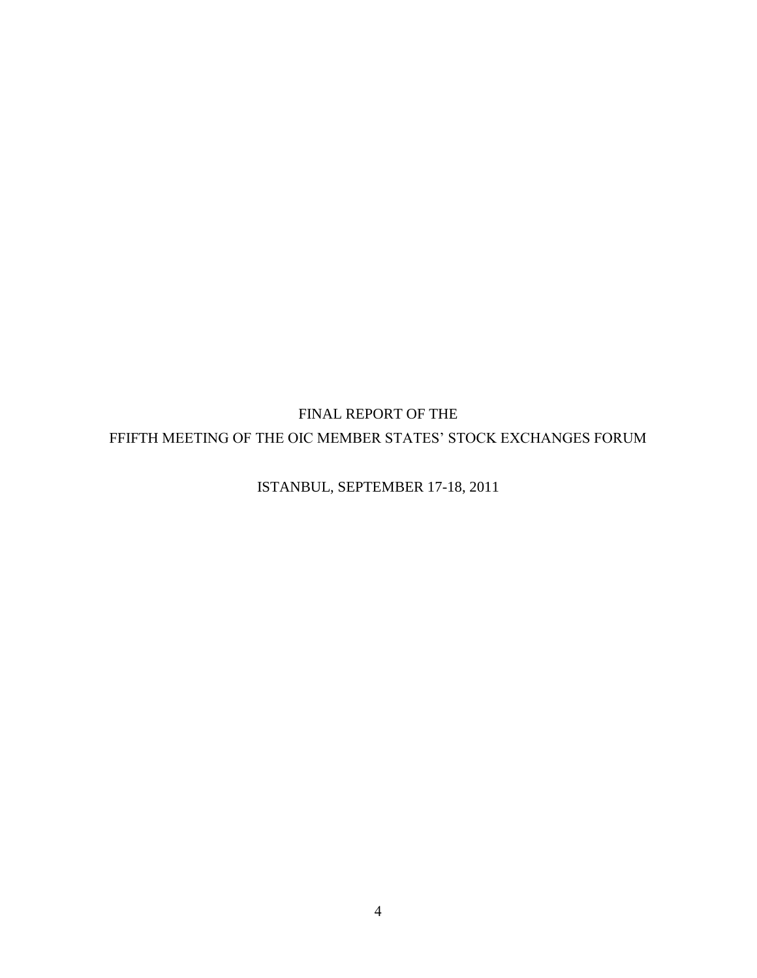FINAL REPORT OF THE FFIFTH MEETING OF THE OIC MEMBER STATES' STOCK EXCHANGES FORUM

ISTANBUL, SEPTEMBER 17-18, 2011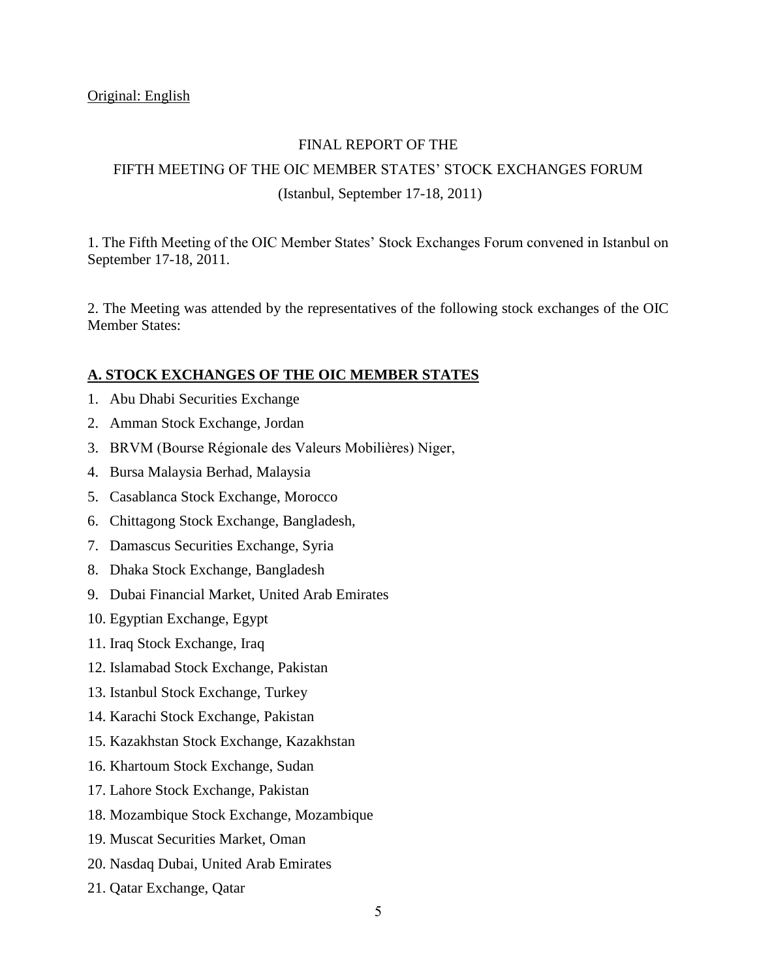## FINAL REPORT OF THE

## FIFTH MEETING OF THE OIC MEMBER STATES' STOCK EXCHANGES FORUM (Istanbul, September 17-18, 2011)

1. The Fifth Meeting of the OIC Member States' Stock Exchanges Forum convened in Istanbul on September 17-18, 2011.

2. The Meeting was attended by the representatives of the following stock exchanges of the OIC Member States:

#### **A. STOCK EXCHANGES OF THE OIC MEMBER STATES**

- 1. Abu Dhabi Securities Exchange
- 2. Amman Stock Exchange, Jordan
- 3. BRVM (Bourse Régionale des Valeurs Mobilières) Niger,
- 4. Bursa Malaysia Berhad, Malaysia
- 5. Casablanca Stock Exchange, Morocco
- 6. Chittagong Stock Exchange, Bangladesh,
- 7. Damascus Securities Exchange, Syria
- 8. Dhaka Stock Exchange, Bangladesh
- 9. Dubai Financial Market, United Arab Emirates
- 10. Egyptian Exchange, Egypt
- 11. Iraq Stock Exchange, Iraq
- 12. Islamabad Stock Exchange, Pakistan
- 13. Istanbul Stock Exchange, Turkey
- 14. Karachi Stock Exchange, Pakistan
- 15. Kazakhstan Stock Exchange, Kazakhstan
- 16. Khartoum Stock Exchange, Sudan
- 17. Lahore Stock Exchange, Pakistan
- 18. Mozambique Stock Exchange, Mozambique
- 19. Muscat Securities Market, Oman
- 20. Nasdaq Dubai, United Arab Emirates
- 21. Qatar Exchange, Qatar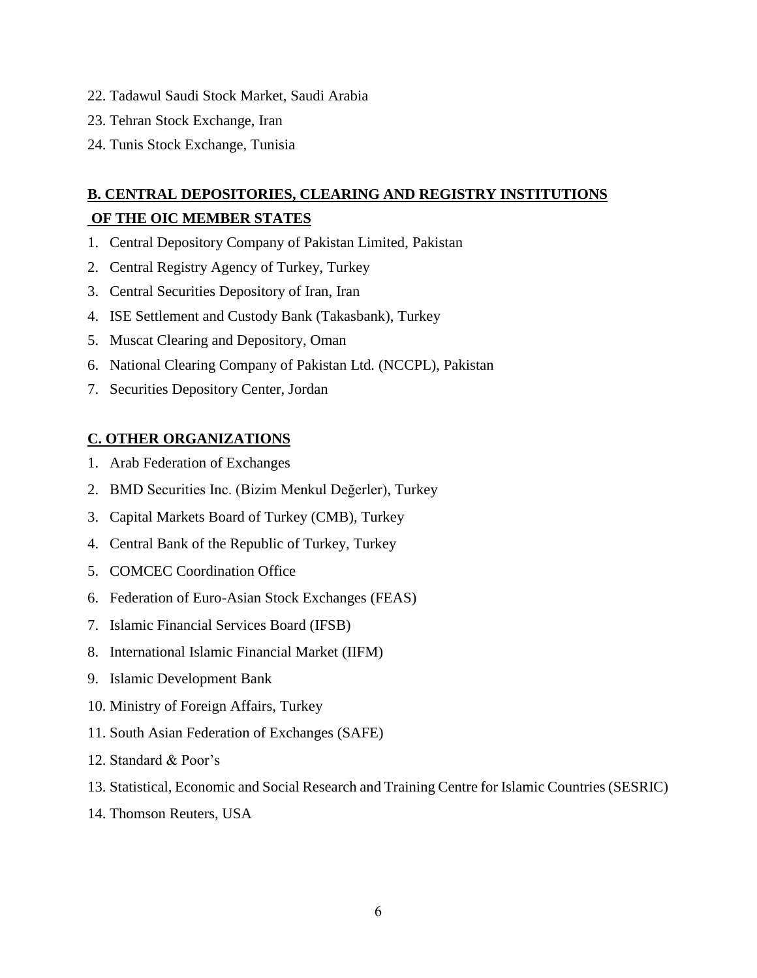- 22. Tadawul Saudi Stock Market, Saudi Arabia
- 23. Tehran Stock Exchange, Iran
- 24. Tunis Stock Exchange, Tunisia

# **B. CENTRAL DEPOSITORIES, CLEARING AND REGISTRY INSTITUTIONS OF THE OIC MEMBER STATES**

- 1. Central Depository Company of Pakistan Limited, Pakistan
- 2. Central Registry Agency of Turkey, Turkey
- 3. Central Securities Depository of Iran, Iran
- 4. ISE Settlement and Custody Bank (Takasbank), Turkey
- 5. Muscat Clearing and Depository, Oman
- 6. National Clearing Company of Pakistan Ltd. (NCCPL), Pakistan
- 7. Securities Depository Center, Jordan

## **C. OTHER ORGANIZATIONS**

- 1. Arab Federation of Exchanges
- 2. BMD Securities Inc. (Bizim Menkul Değerler), Turkey
- 3. Capital Markets Board of Turkey (CMB), Turkey
- 4. Central Bank of the Republic of Turkey, Turkey
- 5. COMCEC Coordination Office
- 6. Federation of Euro-Asian Stock Exchanges (FEAS)
- 7. Islamic Financial Services Board (IFSB)
- 8. International Islamic Financial Market (IIFM)
- 9. Islamic Development Bank
- 10. Ministry of Foreign Affairs, Turkey
- 11. South Asian Federation of Exchanges (SAFE)
- 12. Standard & Poor's
- 13. Statistical, Economic and Social Research and Training Centre for Islamic Countries (SESRIC)
- 14. Thomson Reuters, USA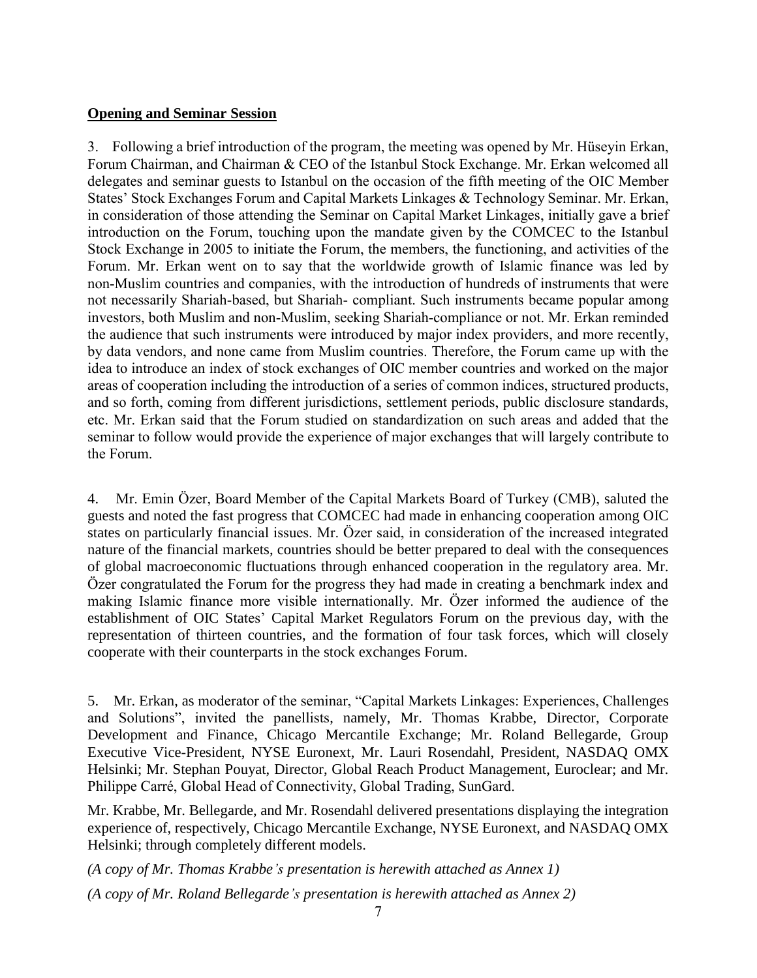#### **Opening and Seminar Session**

3. Following a brief introduction of the program, the meeting was opened by Mr. Hüseyin Erkan, Forum Chairman, and Chairman & CEO of the Istanbul Stock Exchange. Mr. Erkan welcomed all delegates and seminar guests to Istanbul on the occasion of the fifth meeting of the OIC Member States' Stock Exchanges Forum and Capital Markets Linkages & Technology Seminar. Mr. Erkan, in consideration of those attending the Seminar on Capital Market Linkages, initially gave a brief introduction on the Forum, touching upon the mandate given by the COMCEC to the Istanbul Stock Exchange in 2005 to initiate the Forum, the members, the functioning, and activities of the Forum. Mr. Erkan went on to say that the worldwide growth of Islamic finance was led by non-Muslim countries and companies, with the introduction of hundreds of instruments that were not necessarily Shariah-based, but Shariah- compliant. Such instruments became popular among investors, both Muslim and non-Muslim, seeking Shariah-compliance or not. Mr. Erkan reminded the audience that such instruments were introduced by major index providers, and more recently, by data vendors, and none came from Muslim countries. Therefore, the Forum came up with the idea to introduce an index of stock exchanges of OIC member countries and worked on the major areas of cooperation including the introduction of a series of common indices, structured products, and so forth, coming from different jurisdictions, settlement periods, public disclosure standards, etc. Mr. Erkan said that the Forum studied on standardization on such areas and added that the seminar to follow would provide the experience of major exchanges that will largely contribute to the Forum.

4. Mr. Emin Özer, Board Member of the Capital Markets Board of Turkey (CMB), saluted the guests and noted the fast progress that COMCEC had made in enhancing cooperation among OIC states on particularly financial issues. Mr. Özer said, in consideration of the increased integrated nature of the financial markets, countries should be better prepared to deal with the consequences of global macroeconomic fluctuations through enhanced cooperation in the regulatory area. Mr. Özer congratulated the Forum for the progress they had made in creating a benchmark index and making Islamic finance more visible internationally. Mr. Özer informed the audience of the establishment of OIC States' Capital Market Regulators Forum on the previous day, with the representation of thirteen countries, and the formation of four task forces, which will closely cooperate with their counterparts in the stock exchanges Forum.

5. Mr. Erkan, as moderator of the seminar, "Capital Markets Linkages: Experiences, Challenges and Solutions", invited the panellists, namely, Mr. Thomas Krabbe, Director, Corporate Development and Finance, Chicago Mercantile Exchange; Mr. Roland Bellegarde, Group Executive Vice-President, NYSE Euronext, Mr. Lauri Rosendahl, President, NASDAQ OMX Helsinki; Mr. Stephan Pouyat, Director, Global Reach Product Management, Euroclear; and Mr. Philippe Carré, Global Head of Connectivity, Global Trading, SunGard.

Mr. Krabbe, Mr. Bellegarde, and Mr. Rosendahl delivered presentations displaying the integration experience of, respectively, Chicago Mercantile Exchange, NYSE Euronext, and NASDAQ OMX Helsinki; through completely different models.

*(A copy of Mr. Thomas Krabbe's presentation is herewith attached as Annex 1) (A copy of Mr. Roland Bellegarde's presentation is herewith attached as Annex 2)*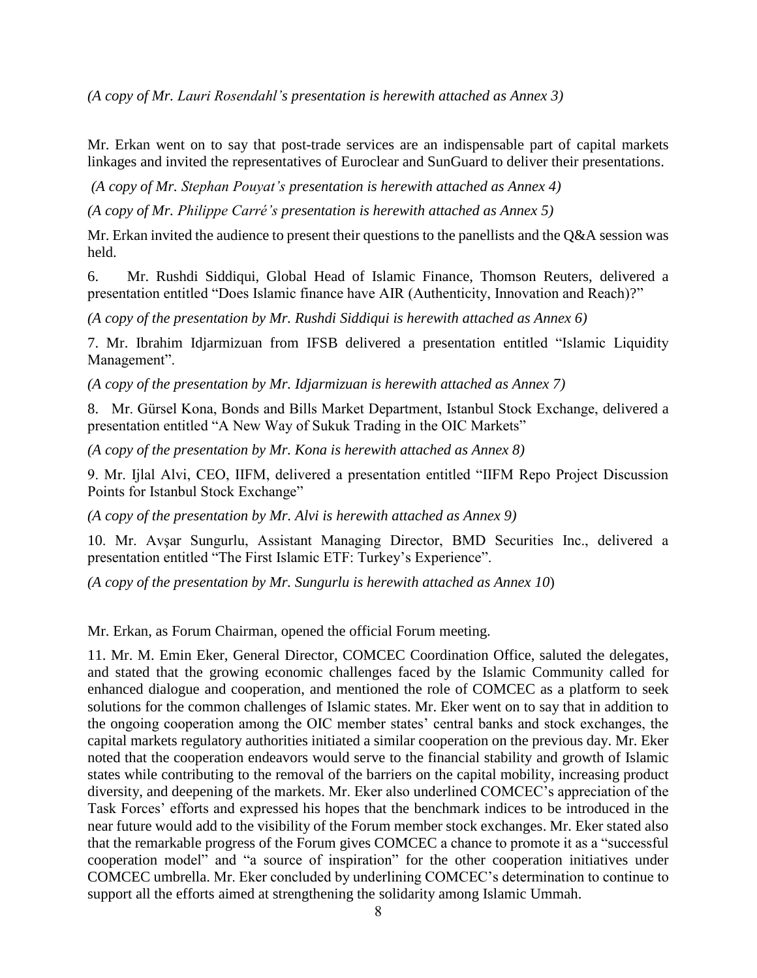*(A copy of Mr. Lauri Rosendahl's presentation is herewith attached as Annex 3)*

Mr. Erkan went on to say that post-trade services are an indispensable part of capital markets linkages and invited the representatives of Euroclear and SunGuard to deliver their presentations.

*(A copy of Mr. Stephan Pouyat's presentation is herewith attached as Annex 4)*

*(A copy of Mr. Philippe Carré's presentation is herewith attached as Annex 5)*

Mr. Erkan invited the audience to present their questions to the panellists and the Q&A session was held.

6.Mr. Rushdi Siddiqui, Global Head of Islamic Finance, Thomson Reuters, delivered a presentation entitled "Does Islamic finance have AIR (Authenticity, Innovation and Reach)?"

*(A copy of the presentation by Mr. Rushdi Siddiqui is herewith attached as Annex 6)*

7. Mr. Ibrahim Idjarmizuan from IFSB delivered a presentation entitled "Islamic Liquidity Management".

*(A copy of the presentation by Mr. Idjarmizuan is herewith attached as Annex 7)*

8. Mr. Gürsel Kona, Bonds and Bills Market Department, Istanbul Stock Exchange, delivered a presentation entitled "A New Way of Sukuk Trading in the OIC Markets"

*(A copy of the presentation by Mr. Kona is herewith attached as Annex 8)*

9. Mr. Ijlal Alvi, CEO, IIFM, delivered a presentation entitled "IIFM Repo Project Discussion Points for Istanbul Stock Exchange"

*(A copy of the presentation by Mr. Alvi is herewith attached as Annex 9)*

10. Mr. Avşar Sungurlu, Assistant Managing Director, BMD Securities Inc., delivered a presentation entitled "The First Islamic ETF: Turkey's Experience".

*(A copy of the presentation by Mr. Sungurlu is herewith attached as Annex 10*)

Mr. Erkan, as Forum Chairman, opened the official Forum meeting.

11. Mr. M. Emin Eker, General Director, COMCEC Coordination Office, saluted the delegates, and stated that the growing economic challenges faced by the Islamic Community called for enhanced dialogue and cooperation, and mentioned the role of COMCEC as a platform to seek solutions for the common challenges of Islamic states. Mr. Eker went on to say that in addition to the ongoing cooperation among the OIC member states' central banks and stock exchanges, the capital markets regulatory authorities initiated a similar cooperation on the previous day. Mr. Eker noted that the cooperation endeavors would serve to the financial stability and growth of Islamic states while contributing to the removal of the barriers on the capital mobility, increasing product diversity, and deepening of the markets. Mr. Eker also underlined COMCEC's appreciation of the Task Forces' efforts and expressed his hopes that the benchmark indices to be introduced in the near future would add to the visibility of the Forum member stock exchanges. Mr. Eker stated also that the remarkable progress of the Forum gives COMCEC a chance to promote it as a "successful cooperation model" and "a source of inspiration" for the other cooperation initiatives under COMCEC umbrella. Mr. Eker concluded by underlining COMCEC's determination to continue to support all the efforts aimed at strengthening the solidarity among Islamic Ummah.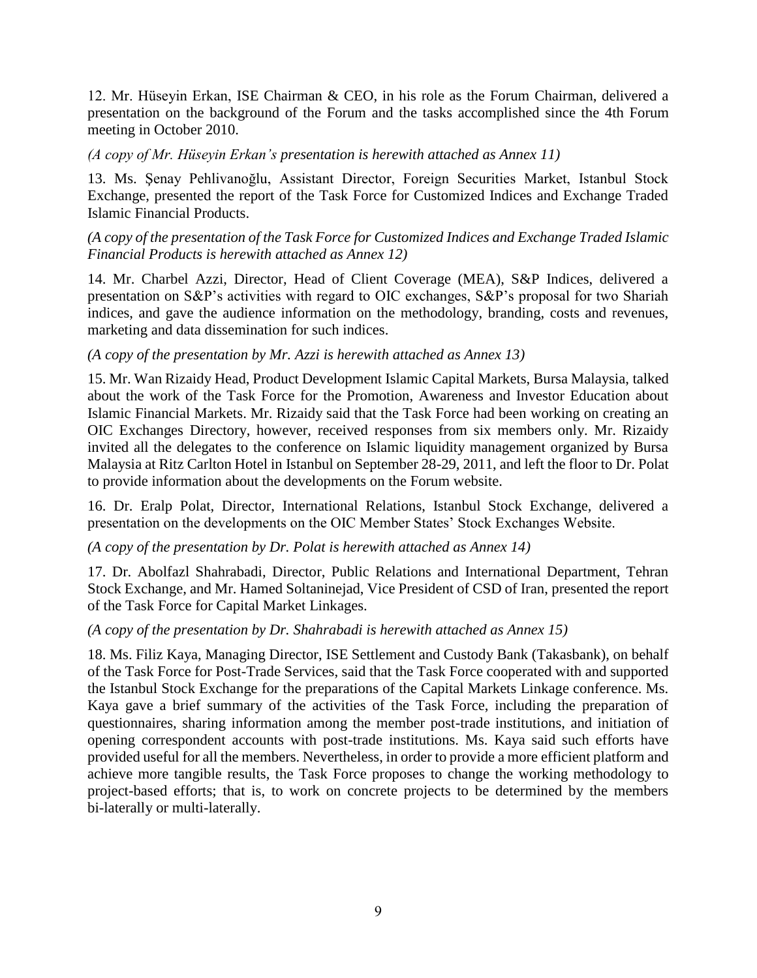12. Mr. Hüseyin Erkan, ISE Chairman & CEO, in his role as the Forum Chairman, delivered a presentation on the background of the Forum and the tasks accomplished since the 4th Forum meeting in October 2010.

*(A copy of Mr. Hüseyin Erkan's presentation is herewith attached as Annex 11)*

13. Ms. Şenay Pehlivanoğlu, Assistant Director, Foreign Securities Market, Istanbul Stock Exchange, presented the report of the Task Force for Customized Indices and Exchange Traded Islamic Financial Products.

### *(A copy of the presentation of the Task Force for Customized Indices and Exchange Traded Islamic Financial Products is herewith attached as Annex 12)*

14. Mr. Charbel Azzi, Director, Head of Client Coverage (MEA), S&P Indices, delivered a presentation on S&P's activities with regard to OIC exchanges, S&P's proposal for two Shariah indices, and gave the audience information on the methodology, branding, costs and revenues, marketing and data dissemination for such indices.

#### *(A copy of the presentation by Mr. Azzi is herewith attached as Annex 13)*

15. Mr. Wan Rizaidy Head, Product Development Islamic Capital Markets, Bursa Malaysia, talked about the work of the Task Force for the Promotion, Awareness and Investor Education about Islamic Financial Markets. Mr. Rizaidy said that the Task Force had been working on creating an OIC Exchanges Directory, however, received responses from six members only. Mr. Rizaidy invited all the delegates to the conference on Islamic liquidity management organized by Bursa Malaysia at Ritz Carlton Hotel in Istanbul on September 28-29, 2011, and left the floor to Dr. Polat to provide information about the developments on the Forum website.

16. Dr. Eralp Polat, Director, International Relations, Istanbul Stock Exchange, delivered a presentation on the developments on the OIC Member States' Stock Exchanges Website.

## *(A copy of the presentation by Dr. Polat is herewith attached as Annex 14)*

17. Dr. Abolfazl Shahrabadi, Director, Public Relations and International Department, Tehran Stock Exchange, and Mr. Hamed Soltaninejad, Vice President of CSD of Iran, presented the report of the Task Force for Capital Market Linkages.

## *(A copy of the presentation by Dr. Shahrabadi is herewith attached as Annex 15)*

18. Ms. Filiz Kaya, Managing Director, ISE Settlement and Custody Bank (Takasbank), on behalf of the Task Force for Post-Trade Services, said that the Task Force cooperated with and supported the Istanbul Stock Exchange for the preparations of the Capital Markets Linkage conference. Ms. Kaya gave a brief summary of the activities of the Task Force, including the preparation of questionnaires, sharing information among the member post-trade institutions, and initiation of opening correspondent accounts with post-trade institutions. Ms. Kaya said such efforts have provided useful for all the members. Nevertheless, in order to provide a more efficient platform and achieve more tangible results, the Task Force proposes to change the working methodology to project-based efforts; that is, to work on concrete projects to be determined by the members bi-laterally or multi-laterally.